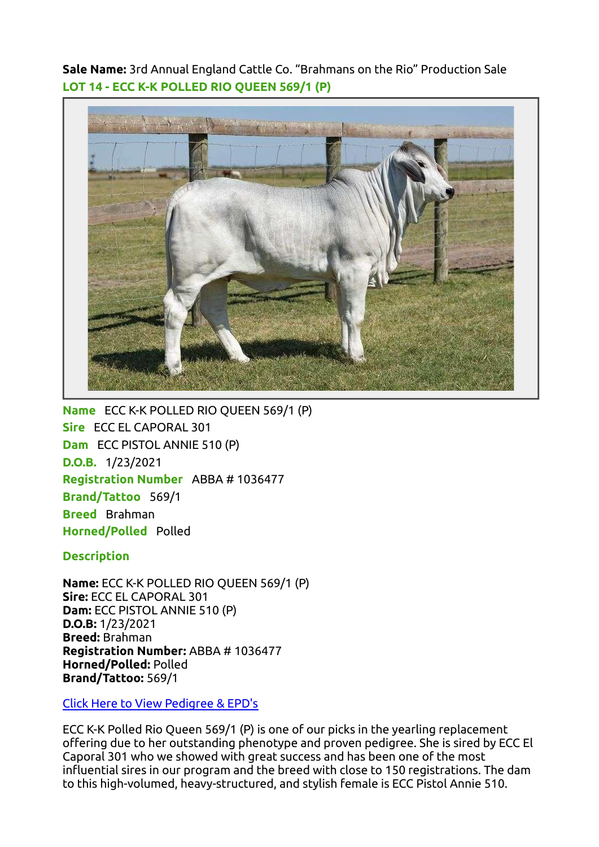Sale Name: 3rd Annual England Cattle Co. "Brahmans on the Rio" Production Sale LOT 14 - ECC K-K POLLED RIO QUEEN 569/1 (P)



Name ECC K-K POLLED RIO QUEEN 569/1 (P) Sire ECC EL CAPORAL 301 Dam ECC PISTOL ANNIE 510 (P) D.O.B. 1/23/2021 Registration Number ABBA # 1036477 Brand/Tattoo 569/1 Breed Brahman Horned/Polled Polled

**Description** 

Name: ECC K-K POLLED RIO QUEEN 569/1 (P) Sire: ECC EL CAPORAL 301 Dam: ECC PISTOL ANNIE 510 (P) D.O.B: 1/23/2021 Breed: Brahman Registration Number: ABBA # 1036477 Horned/Polled: Polled Brand/Tattoo: 569/1

[Click Here to View Pedigree & EPD's](https://brahman.digitalbeef.com/modules.php?op=modload&name=_animal&file=_animal&animal_registration=1036477)

ECC K-K Polled Rio Queen 569/1 (P) is one of our picks in the yearling replacement offering due to her outstanding phenotype and proven pedigree. She is sired by ECC El Caporal 301 who we showed with great success and has been one of the most influential sires in our program and the breed with close to 150 registrations. The dam to this high-volumed, heavy-structured, and stylish female is ECC Pistol Annie 510.